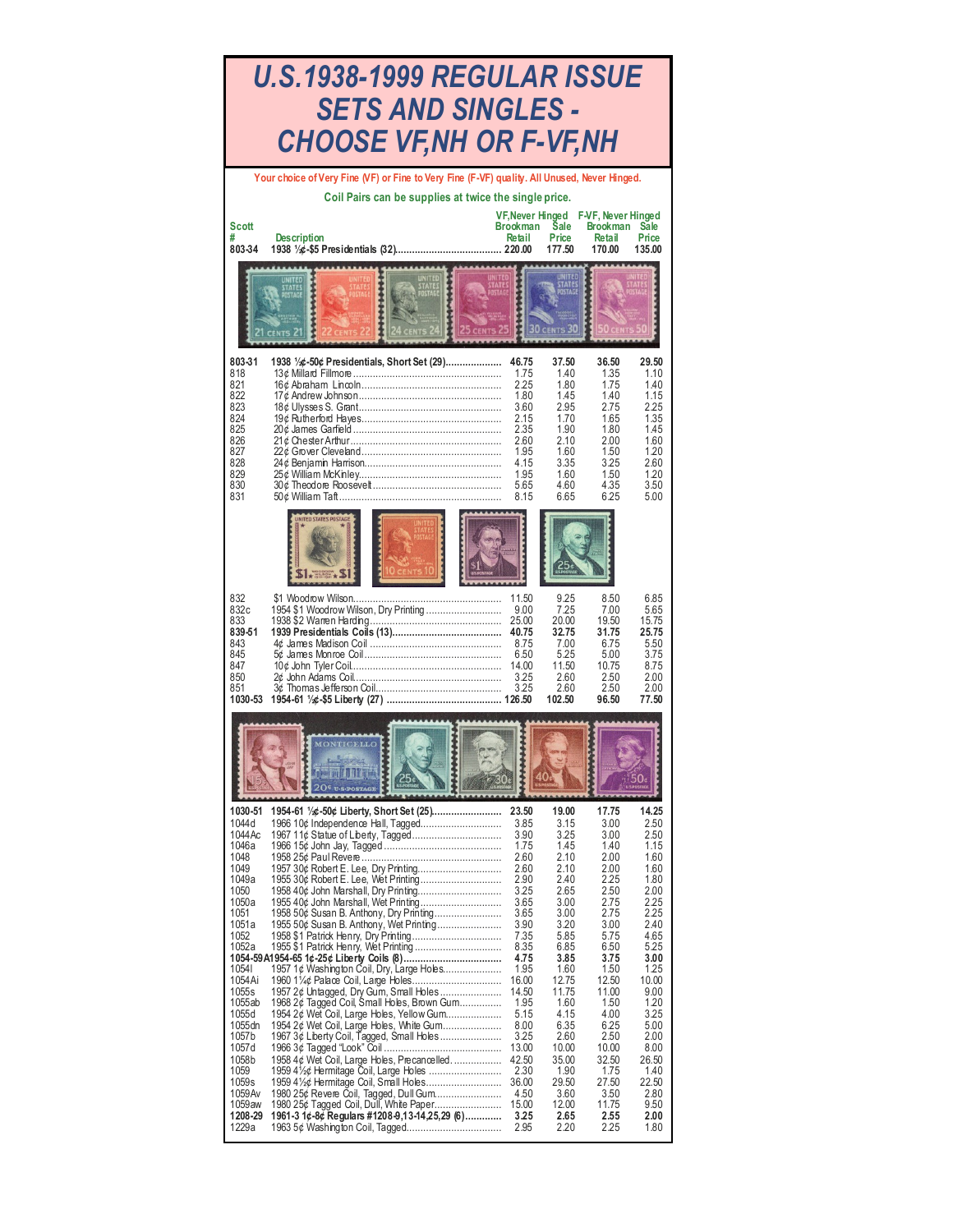| U.S.1938-1999 REGULAR ISSUE<br><b>SETS AND SINGLES -</b><br>CHOOSE VF,NH OR F-VF,NH                                                                                                                                                                             |                                                                                                                                                                                                                                                                                                                                                                                                                                                                                                                                                                                                                                                              |                                                                                                                                                                                                                                             |                                                                                                                                                                                                                                             |                                                                                                                                                                                                                                             |                                                                                                                                                                                                                                          |
|-----------------------------------------------------------------------------------------------------------------------------------------------------------------------------------------------------------------------------------------------------------------|--------------------------------------------------------------------------------------------------------------------------------------------------------------------------------------------------------------------------------------------------------------------------------------------------------------------------------------------------------------------------------------------------------------------------------------------------------------------------------------------------------------------------------------------------------------------------------------------------------------------------------------------------------------|---------------------------------------------------------------------------------------------------------------------------------------------------------------------------------------------------------------------------------------------|---------------------------------------------------------------------------------------------------------------------------------------------------------------------------------------------------------------------------------------------|---------------------------------------------------------------------------------------------------------------------------------------------------------------------------------------------------------------------------------------------|------------------------------------------------------------------------------------------------------------------------------------------------------------------------------------------------------------------------------------------|
| <b>Scott</b><br>803-34                                                                                                                                                                                                                                          | Your choice of Very Fine (VF) or Fine to Very Fine (F-VF) quality. All Unused, Never Hinged.<br>Coil Pairs can be supplies at twice the single price.<br><b>Description</b>                                                                                                                                                                                                                                                                                                                                                                                                                                                                                  | <b>VF.Never Hinged</b><br><b>Brookman</b><br>Retail                                                                                                                                                                                         | <b>Sale</b><br>Price<br>177.50                                                                                                                                                                                                              | F-VF, Never Hinged<br><b>Brookman</b><br><b>Retail</b><br>170.00                                                                                                                                                                            | <b>Sale</b><br>Price<br>135.00                                                                                                                                                                                                           |
|                                                                                                                                                                                                                                                                 |                                                                                                                                                                                                                                                                                                                                                                                                                                                                                                                                                                                                                                                              |                                                                                                                                                                                                                                             |                                                                                                                                                                                                                                             |                                                                                                                                                                                                                                             |                                                                                                                                                                                                                                          |
| 803-31<br>818<br>821<br>822<br>823<br>824<br>825<br>826<br>827<br>828<br>829<br>830<br>831                                                                                                                                                                      | 1938 1/2: -50¢ Presidentials, Short Set (29)                                                                                                                                                                                                                                                                                                                                                                                                                                                                                                                                                                                                                 | 46.75<br>1.75<br>2.25<br>1.80<br>3.60<br>2.15<br>2.35<br>2.60<br>1.95<br>4.15<br>1.95<br>5.65<br>8.15                                                                                                                                       | 37.50<br>1.40<br>1.80<br>1.45<br>2.95<br>1.70<br>1.90<br>2.10<br>1.60<br>3.35<br>1.60<br>4.60<br>6.65                                                                                                                                       | 36.50<br>1.35<br>1.75<br>1.40<br>2.75<br>1.65<br>1.80<br>2.00<br>1.50<br>3.25<br>1.50<br>435<br>6.25                                                                                                                                        | 29.50<br>1.10<br>1.40<br>1.15<br>2.25<br>1.35<br>1.45<br>1.60<br>1.20<br>2.60<br>1.20<br>3.50<br>5.00                                                                                                                                    |
| 832<br>832c<br>833<br>839-51<br>843<br>845<br>847<br>850<br>851<br>1030-53                                                                                                                                                                                      | UNITED STATES POSTAG                                                                                                                                                                                                                                                                                                                                                                                                                                                                                                                                                                                                                                         | 11.50<br>9.00<br>25.00<br>40.75<br>8.75<br>6.50<br>14.00<br>3.25<br>3.25                                                                                                                                                                    | 9.25<br>7.25<br>20.00<br>32.75<br>7.00<br>5.25<br>11.50<br>2.60<br>2.60<br>102.50                                                                                                                                                           | 8.50<br>7.00<br>19.50<br>31.75<br>6.75<br>5.00<br>10.75<br>2.50<br>2.50<br>96.50                                                                                                                                                            | 6.85<br>5.65<br>15.75<br>25.75<br>5.50<br>3.75<br>8.75<br>2.00<br>2.00<br>77.50                                                                                                                                                          |
|                                                                                                                                                                                                                                                                 | <b>OILLETT</b><br>20 <sup>4</sup>                                                                                                                                                                                                                                                                                                                                                                                                                                                                                                                                                                                                                            |                                                                                                                                                                                                                                             |                                                                                                                                                                                                                                             |                                                                                                                                                                                                                                             |                                                                                                                                                                                                                                          |
| 1030-51<br>1044 d<br>1044Ac<br>1046a<br>1048<br>1049<br>1049a<br>1050<br>1050a<br>1051<br>1051a<br>1052<br>1052a<br>10541<br>1054Ai<br>1055s<br>1055ab<br>1055d<br>1055 dn<br>1057b<br>1057d<br>1058b<br>1059<br>1059s<br>1059 Av<br>1059aw<br>1208-29<br>1229a | 1954-61 ½¢-50¢ Liberty, Short Set (25)<br>1966 10¢ Independence Hall, Tagged<br>1958 50¢ Susan B. Anthony, Dry Printing<br>1955 50¢ Susan B. Anthony, Wet Printing<br>1957 1¢ Washington Coil, Dry, Large Holes<br>1957 2¢ Untagged, Dry Gum, Small Holes<br>1968 2¢ Tagged Coil, Small Holes, Brown Gum<br>1954 2¢ Wet Coil, Large Holes, Yellow Gum<br>1954 2¢ Wet Coil, Large Holes, White Gum<br>1967 3¢ Liberty Coil, Tagged, Small Holes<br>1958 4¢ Wet Coil, Large Holes, Precancelled<br>1959 4 <sup>1</sup> / <sub>2</sub> ¢ Hermitage Coil, Large Holes<br>1980 25¢ Revere Coil, Tagged, Dull Gum<br>1961-3 1¢-8¢ Regulars #1208-9,13-14,25,29 (6) | 23.50<br>3.85<br>3.90<br>1.75<br>2.60<br>2.60<br>2.90<br>3.25<br>3.65<br>3.65<br>3.90<br>7.35<br>8.35<br>4.75<br>1.95<br>16.00<br>14.50<br>1.95<br>5.15<br>8.00<br>3.25<br>13.00<br>42.50<br>2.30<br>36.00<br>4.50<br>15.00<br>3.25<br>2.95 | 19.00<br>3.15<br>3.25<br>1.45<br>2.10<br>2.10<br>2.40<br>2.65<br>3.00<br>3.00<br>3.20<br>5.85<br>6.85<br>3.85<br>1.60<br>12.75<br>11.75<br>1.60<br>4.15<br>6.35<br>2.60<br>10.00<br>35.00<br>1.90<br>29.50<br>3.60<br>12.00<br>2.65<br>2.20 | 17.75<br>3.00<br>3.00<br>1.40<br>2.00<br>2.00<br>2.25<br>2.50<br>2.75<br>2.75<br>3.00<br>5.75<br>6.50<br>3.75<br>1.50<br>12.50<br>11.00<br>1.50<br>4.00<br>6.25<br>2.50<br>10.00<br>32.50<br>1.75<br>27.50<br>3.50<br>11.75<br>2.55<br>2.25 | 14.25<br>2.50<br>2.50<br>1.15<br>1.60<br>1.60<br>1.80<br>2.00<br>2.25<br>2.25<br>2.40<br>4.65<br>5.25<br>3.00<br>1.25<br>10.00<br>9.00<br>1.20<br>3.25<br>5.00<br>2.00<br>8.00<br>26.50<br>1.40<br>22.50<br>2.80<br>9.50<br>2.00<br>1.80 |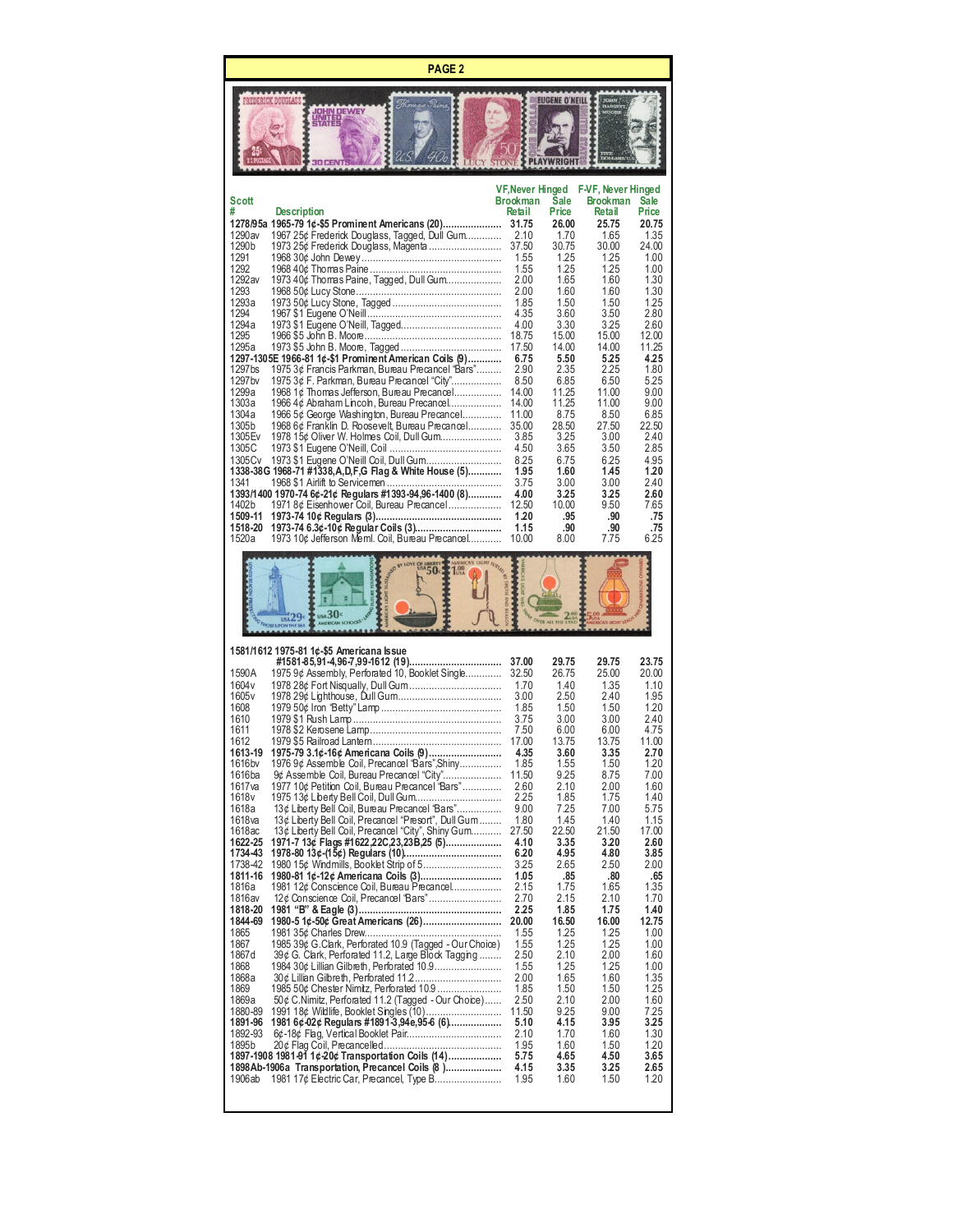**PAGE 2**

ſ

|                                                                                                                                                                                                                                                                                                                                                                                             | PREDERICK DOUGLAS<br><b><i>OHN DEWEY</i></b><br>微體                                                                                                                                                                                                                                                                                                                                                                                                                                                                                                                                                                                                                                                                                                                                                                                                                                                                                                                                                                                                                                                                                                                                                                                                               |                                                                                                                                                                                                                                                                                                                     | EUGENE O'NEIL                                                                                                                                                                                                                                                                                                    |                                                                                                                                                                                                                                                                                                                  |                                                                                                                                                                                                                                                                                                                  |
|---------------------------------------------------------------------------------------------------------------------------------------------------------------------------------------------------------------------------------------------------------------------------------------------------------------------------------------------------------------------------------------------|------------------------------------------------------------------------------------------------------------------------------------------------------------------------------------------------------------------------------------------------------------------------------------------------------------------------------------------------------------------------------------------------------------------------------------------------------------------------------------------------------------------------------------------------------------------------------------------------------------------------------------------------------------------------------------------------------------------------------------------------------------------------------------------------------------------------------------------------------------------------------------------------------------------------------------------------------------------------------------------------------------------------------------------------------------------------------------------------------------------------------------------------------------------------------------------------------------------------------------------------------------------|---------------------------------------------------------------------------------------------------------------------------------------------------------------------------------------------------------------------------------------------------------------------------------------------------------------------|------------------------------------------------------------------------------------------------------------------------------------------------------------------------------------------------------------------------------------------------------------------------------------------------------------------|------------------------------------------------------------------------------------------------------------------------------------------------------------------------------------------------------------------------------------------------------------------------------------------------------------------|------------------------------------------------------------------------------------------------------------------------------------------------------------------------------------------------------------------------------------------------------------------------------------------------------------------|
| Scott<br>#<br>1290av<br>1290b<br>1291<br>1292<br>1292 av<br>1293<br>1293a<br>1294<br>1294a<br>1295<br>1295a<br>1297bs<br>1297 bv<br>1299a<br>1303a<br>1304a<br>1305b<br>1305 Ev<br>1305C<br>1305Cv<br>1341<br>1402b<br>1509-11<br>1518-20<br>1520a                                                                                                                                          | <b>Description</b><br>1278/95a 1965-79 1¢-\$5 Prominent Americans (20)<br>1967 25¢ Frederick Douglass, Tagged, Dull Gum<br>1973 25¢ Frederick Douglass, Magenta<br>1973 40¢ Thomas Paine, Tagged, Dull Gum<br>1297-1305E 1966-81 1¢-\$1 Prominent American Coils (9)<br>1975 3¢ Francis Parkman, Bureau Precancel "Bars"<br>1975 3¢ F. Parkman, Bureau Precancel "City"<br>1968 1¢ Thomas Jefferson, Bureau Precancel<br>1966 4¢ Abraham Lincoln, Bureau Precancel<br>1966 5¢ George Washington, Bureau Precancel<br>1968 6¢ Franklin D. Roosevelt, Bureau Precancel<br>1978 15¢ Oliver W. Holmes Coil, Dull Gum<br>1338-38G 1968-71 #1338, A, D, F, G Flag & White House (5)<br>1393/1400 1970-74 6¢-21¢ Regulars #1393-94,96-1400 (8)<br>1971 8¢ Eisenhower Coil, Bureau Precancel<br>1973-74 6.3¢-10¢ Regular Coils (3)<br>1973 10¢ Jefferson Meml. Coil, Bureau Precancel                                                                                                                                                                                                                                                                                                                                                                                    | VF, Never Hinged<br>Brookman<br>Retail<br>31.75<br>2.10<br>37.50<br>1.55<br>1.55<br>2.00<br>2.00<br>1.85<br>4.35<br>4.00<br>18.75<br>17.50<br>6.75<br>2.90<br>8.50<br>14.00<br>14.00<br>11.00<br>35.00<br>3.85<br>4.50<br>8.25<br>1.95<br>3.75<br>4.00<br>12.50<br>1.20<br>1.15<br>10.00                            | Sale<br>Price<br>26.00<br>1.70<br>30.75<br>1.25<br>1.25<br>1.65<br>1.60<br>1.50<br>3.60<br>3.30<br>15.00<br>14.00<br>5.50<br>2.35<br>6.85<br>11.25<br>11.25<br>8.75<br>28.50<br>3.25<br>3.65<br>6.75<br>1.60<br>3.00<br>3.25<br>10.00<br>.95<br>.90<br>8.00                                                      | F-VF, Never Hinged<br><b>Brookman</b><br>Retail<br>25.75<br>1.65<br>30.00<br>1.25<br>1.25<br>1.60<br>1.60<br>1.50<br>3.50<br>3.25<br>15.00<br>14.00<br>5.25<br>2.25<br>6.50<br>11.00<br>11.00<br>8.50<br>27.50<br>3.00<br>3.50<br>6.25<br>1.45<br>3.00<br>3.25<br>9.50<br>.90<br>.90<br>7.75                     | <b>Sale</b><br>Price<br>20.75<br>1.35<br>24.00<br>1.00<br>1.00<br>1.30<br>1.30<br>1.25<br>2.80<br>2.60<br>12.00<br>11.25<br>4.25<br>1.80<br>5.25<br>9.00<br>9.00<br>6.85<br>22.50<br>2.40<br>2.85<br>4.95<br>1.20<br>2.40<br>2.60<br>7.65<br>.75<br>.75<br>6.25                                                  |
|                                                                                                                                                                                                                                                                                                                                                                                             | USA <sub>29c</sub>                                                                                                                                                                                                                                                                                                                                                                                                                                                                                                                                                                                                                                                                                                                                                                                                                                                                                                                                                                                                                                                                                                                                                                                                                                               |                                                                                                                                                                                                                                                                                                                     |                                                                                                                                                                                                                                                                                                                  |                                                                                                                                                                                                                                                                                                                  |                                                                                                                                                                                                                                                                                                                  |
| 1590A<br>1604 v<br>1605 <sub>v</sub><br>1608<br>1610<br>1611<br>1612<br>1613-19<br>1616bv<br>1616ba<br>1617 <sub>va</sub><br>1618 <sub>v</sub><br>1618a<br>1618 <sub>va</sub><br>1618ac<br>1622-25<br>1734-43<br>1738-42<br>1811-16<br>1816a<br>1816av<br>1818-20<br>1844-69<br>1865<br>1867<br>1867d<br>1868<br>1868a<br>1869<br>1869a<br>1880-89<br>1891-96<br>1892-93<br>1895b<br>1906ab | 1581/1612 1975-81 1¢-\$5 Americana Issue<br>#1581-85,91-4,96-7,99-1612 (19)<br>1975 9¢ Assembly, Perforated 10, Booklet Single<br>1975-79 3.1¢-16¢ Americana Coils (9)<br>1976 9¢ Assemble Coil, Precancel 'Bars", Shiny<br>9¢ Assemble Coil, Bureau Precancel "City"<br>1977 10¢ Petition Coil, Bureau Precancel "Bars"<br>1975 13¢ Liberty Bell Coil, Dull Gum<br>13¢ Liberty Bell Coil, Bureau Precancel "Bars"<br>13¢ Liberty Bell Coil, Precancel "Presort", Dull Gum<br>13¢ Liberty Bell Coil, Precancel "City", Shiny Gum<br>1971-7 13¢ Flags #1622,22C,23,23B,25 (5)<br>1980-81 1¢-12¢ Americana Coils (3)<br>1981 12¢ Conscience Coil. Bureau Precancel<br>12¢ Conscience Coil, Precancel 'Bars"<br>1980-5 1¢-50¢ Great Americans (26)<br>1985 39¢ G. Clark, Perforated 10.9 (Tagged - Our Choice)<br>39¢ G. Clark, Perforated 11.2, Large Block Tagging<br>1984 30¢ Lillian Gilbreth, Perforated 10.9<br>1985 50¢ Chester Nimitz, Perforated 10.9<br>50¢ C.Nimitz, Perforated 11.2 (Tagged - Our Choice)<br>1991 18¢ Wildlife, Booklet Singles (10)<br>1981 6¢-02¢ Regulars #1891-3,94e,95-6 (6)<br>1897-1908 1981-91 1¢-20¢ Transportation Coils (14)<br>1898Ab-1906a Transportation, Precancel Coils (8)<br>1981 17¢ Electric Car, Precancel, Type B | 37.00<br>32.50<br>1.70<br>3.00<br>1.85<br>3.75<br>7.50<br>17.00<br>4.35<br>1.85<br>11.50<br>2.60<br>2.25<br>9.00<br>1.80<br>27.50<br>4.10<br>6.20<br>3.25<br>1.05<br>2.15<br>2.70<br>2.25<br>20.00<br>1.55<br>1.55<br>2.50<br>1.55<br>2.00<br>1.85<br>2.50<br>11.50<br>5.10<br>2.10<br>1.95<br>5.75<br>4.15<br>1.95 | 29.75<br>26.75<br>1.40<br>2.50<br>1.50<br>3.00<br>6.00<br>13.75<br>3.60<br>1.55<br>9.25<br>2.10<br>1.85<br>7.25<br>1.45<br>22.50<br>3.35<br>4.95<br>2.65<br>.85<br>1.75<br>2.15<br>1.85<br>16.50<br>1.25<br>1.25<br>2.10<br>1.25<br>1.65<br>1.50<br>2.10<br>9.25<br>4.15<br>1.70<br>1.60<br>4.65<br>3.35<br>1.60 | 29.75<br>25.00<br>1.35<br>2.40<br>1.50<br>3.00<br>6.00<br>13.75<br>3.35<br>1.50<br>8.75<br>2.00<br>1.75<br>7.00<br>1.40<br>21.50<br>3.20<br>4.80<br>2.50<br>.80<br>1.65<br>2.10<br>1.75<br>16.00<br>1.25<br>1.25<br>2.00<br>1.25<br>1.60<br>1.50<br>2.00<br>9.00<br>3.95<br>1.60<br>1.50<br>4.50<br>3.25<br>1.50 | 23.75<br>20.00<br>1.10<br>1.95<br>1.20<br>2.40<br>4.75<br>11.00<br>2.70<br>1.20<br>7.00<br>1.60<br>1.40<br>5.75<br>1.15<br>17.00<br>2.60<br>3.85<br>2.00<br>.65<br>1.35<br>1.70<br>1.40<br>12.75<br>1.00<br>1.00<br>1.60<br>1.00<br>1.35<br>1.25<br>1.60<br>7.25<br>3.25<br>1.30<br>1.20<br>3.65<br>2.65<br>1.20 |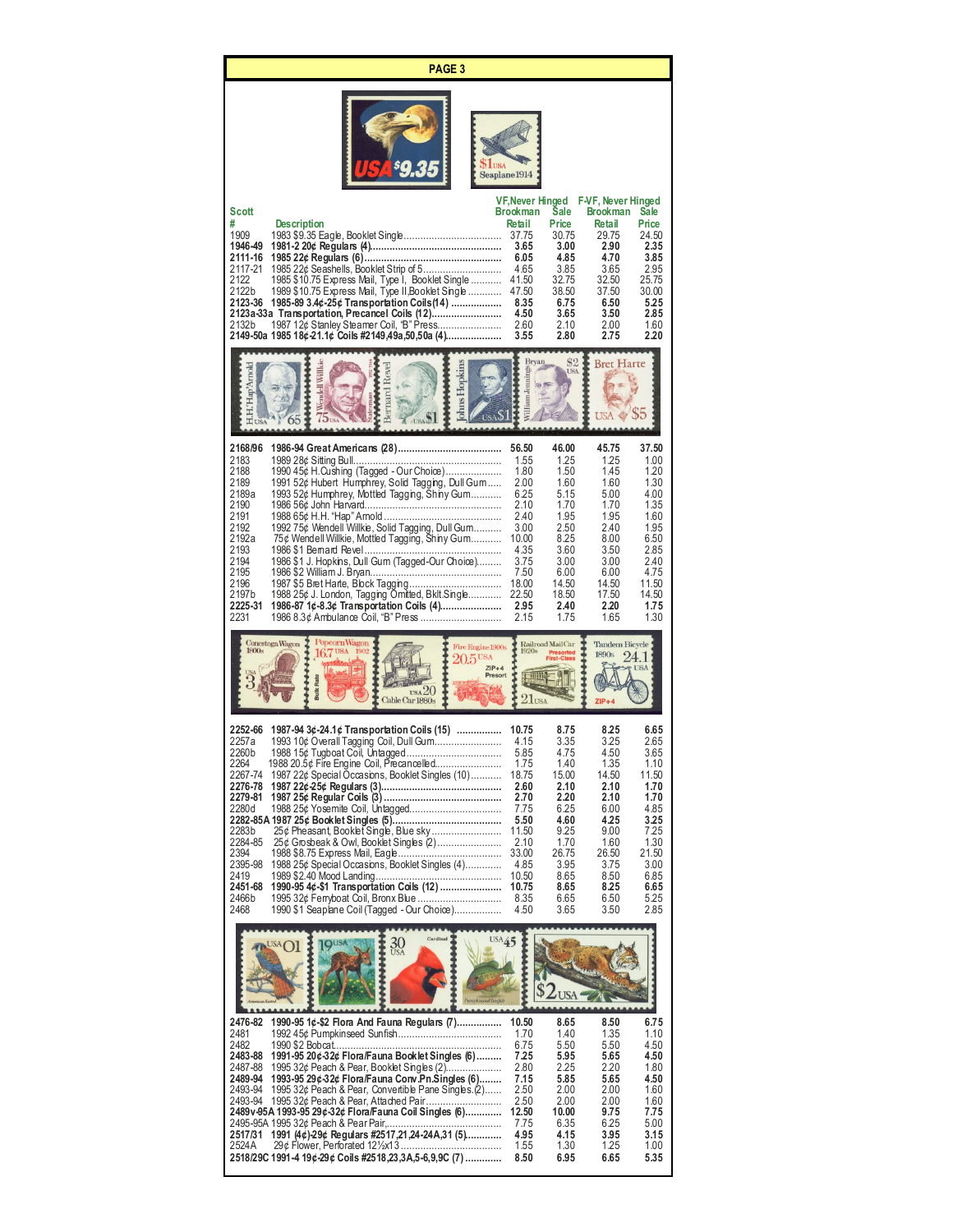|                                                                                                                                                 | <b>PAGE 3</b>                                                                                                                                                                                                                                                                                                                                                                                                                                                                                                  |                                                                                                                                            |                                                                                                                                        |                                                                                                                                        |                                                                                                                                        |
|-------------------------------------------------------------------------------------------------------------------------------------------------|----------------------------------------------------------------------------------------------------------------------------------------------------------------------------------------------------------------------------------------------------------------------------------------------------------------------------------------------------------------------------------------------------------------------------------------------------------------------------------------------------------------|--------------------------------------------------------------------------------------------------------------------------------------------|----------------------------------------------------------------------------------------------------------------------------------------|----------------------------------------------------------------------------------------------------------------------------------------|----------------------------------------------------------------------------------------------------------------------------------------|
|                                                                                                                                                 | <b>LUSA</b>                                                                                                                                                                                                                                                                                                                                                                                                                                                                                                    | Seaplane 1914                                                                                                                              |                                                                                                                                        |                                                                                                                                        |                                                                                                                                        |
| Scott<br>#<br>1909<br>1946-49<br>2111-16<br>2117-21<br>2122<br>2122b<br>2123-36<br>2132b                                                        | <b>Description</b><br>1985 22¢ Seashells, Booklet Strip of 5<br>1985 \$10.75 Express Mail, Type I, Booklet Single<br>1989 \$10.75 Express Mail, Type II,Booklet Single<br>1985-89 3.4¢-25¢ Transportation Coils (14)<br>2123a-33a Transportation, Precancel Coils (12)<br>1987 12¢ Stanley Steamer Coil, "B" Press<br>2149-50a 1985 18¢-21.1¢ Coils #2149,49a,50,50a (4)                                                                                                                                       | VF, Never Hinged<br><b>Brookman</b><br>Retail<br>37.75<br>3.65<br>6.05<br>4.65<br>41.50<br>47.50<br>8.35<br>4.50<br>2.60<br>3.55           | Sale<br>Price<br>30.75<br>3.00<br>4.85<br>3.85<br>32.75<br>38.50<br>6.75<br>3.65<br>2.10<br>2.80                                       | F-VF, Never Hinged<br><b>Brookman</b><br>Retail<br>29.75<br>2.90<br>4.70<br>3.65<br>32.50<br>37.50<br>6.50<br>3.50<br>2.00<br>2.75     | Sale<br>Price<br>24.50<br>2.35<br>3.85<br>2.95<br>25.75<br>30.00<br>5.25<br>2.85<br>1.60<br>2.20                                       |
| ap <sup>3</sup> Arnold                                                                                                                          | Hopkins<br>mdell Willk                                                                                                                                                                                                                                                                                                                                                                                                                                                                                         | <b>Bryan</b><br><b>Villiam</b> Jennings                                                                                                    | 82<br><b>ISA</b>                                                                                                                       | <b>Bret Harte</b>                                                                                                                      |                                                                                                                                        |
| 2168/96<br>2183<br>2188<br>2189<br>2189a<br>2190<br>2191<br>2192<br>2192a<br>2193<br>2194<br>2195<br>2196<br>2197 b<br>2225-31<br>2231          | 1990 45¢ H. Cushing (Tagged - Our Choice)<br>1991 52¢ Hubert Humphrey, Solid Tagging, Dull Gum<br>1993 52¢ Humphrey, Mottled Tagging, Shiny Gum<br>1992 75¢ Wendell Willkie, Solid Tagging, Dull Gum<br>75¢ Wendell Willkie, Mottled Tagging, Shiny Gum<br>1986 \$1 J. Hopkins, Dull Gum (Tagged-Our Choice)<br>1988 25¢ J. London, Tagging Omitted, Bklt.Single<br>1986-87 1¢-8.3¢ Transportation Coils (4)<br>1986 8.3¢ Ambulance Coil, "B" Press                                                            | 56.50<br>1.55<br>1.80<br>2.00<br>6.25<br>2.10<br>2.40<br>3.00<br>10.00<br>4.35<br>3.75<br>7.50<br>18.00<br>22.50<br>2.95<br>2.15           | 46.00<br>1.25<br>1.50<br>1.60<br>5.15<br>1.70<br>1.95<br>2.50<br>8.25<br>3.60<br>3.00<br>6.00<br>14.50<br>18.50<br>2.40<br>1.75        | 45.75<br>1.25<br>1.45<br>1.60<br>5.00<br>1.70<br>1.95<br>2.40<br>8.00<br>3.50<br>3.00<br>6.00<br>14.50<br>17.50<br>2.20<br>1.65        | 37.50<br>1.00<br>1.20<br>1.30<br>4.00<br>1.35<br>1.60<br>1.95<br>6.50<br>2.85<br>2.40<br>4.75<br>11.50<br>14.50<br>1.75<br>1.30        |
| Conestoga Wagon<br>1800s                                                                                                                        | Popcorn Wagon<br>Fire Engine 1900s<br>$16.7$ USA<br>1902<br>$20.5$ <sup>USA</sup><br>$ZIP+4$<br>Presort<br><b>Rate</b><br>$\overline{\text{us}_A20}$<br>Cable Car 1880s                                                                                                                                                                                                                                                                                                                                        | $2 \text{I}$ USA                                                                                                                           | Railroad MailCar<br>Presorted<br>First-Class                                                                                           | <b>Tandem Bicycle</b><br>1890s                                                                                                         | 24.1<br>USA                                                                                                                            |
| 2252-66<br>2260 b<br>2264<br>2267-74<br>2276-78<br>2279-81<br>2280d<br>2283b<br>2284-85<br>2394<br>2395-98<br>2419<br>2451-68<br>2466 b<br>2468 | 1987-94 3¢-24.1¢ Transportation Coils (15)<br>2257a 1993 10¢ Overall Tagging Coil, Dull Gum<br>.<br>1988 20.5¢ Fire Engine Coil, Piecancelled<br>1987 22¢ Special Occasions, Booklet Singles (10)<br>1988 25¢ Yosemite Coil, Untagged<br>25¢ Pheasant, Booket Single, Blue sky<br>25¢ Grosbeak & Owl, Booket Singles (2)<br>1988 25¢ Special Occasions, Booklet Singles (4)<br>1990-95 4¢-\$1 Transportation Coils (12)<br>1995 32¢ Ferryboat Coil, Bronx Blue<br>1990 \$1 Seaplane Coil (Tagged - Our Choice) | 10.75<br>4.15<br>5.85<br>1.75<br>18.75<br>2.60<br>2.70<br>7.75<br>5.50<br>11.50<br>2.10<br>33.00<br>4.85<br>10.50<br>10.75<br>8.35<br>4.50 | 8.75<br>3.35<br>4.75<br>1.40<br>15.00<br>2.10<br>2.20<br>6.25<br>4.60<br>9.25<br>1.70<br>26.75<br>3.95<br>8.65<br>8.65<br>6.65<br>3.65 | 8.25<br>3.25<br>4.50<br>1.35<br>14.50<br>2.10<br>2.10<br>6.00<br>4.25<br>9.00<br>1.60<br>26.50<br>3.75<br>8.50<br>8.25<br>6.50<br>3.50 | 6.65<br>2.65<br>3.65<br>1.10<br>11.50<br>1.70<br>1.70<br>4.85<br>3.25<br>7.25<br>1.30<br>21.50<br>3.00<br>6.85<br>6.65<br>5.25<br>2.85 |
|                                                                                                                                                 | USA45<br>$\frac{30}{\text{USA}}$                                                                                                                                                                                                                                                                                                                                                                                                                                                                               |                                                                                                                                            |                                                                                                                                        |                                                                                                                                        |                                                                                                                                        |
| 2476-82<br>2481                                                                                                                                 | 1990-95 1¢-\$2 Flora And Fauna Regulars (7)                                                                                                                                                                                                                                                                                                                                                                                                                                                                    | 10.50<br>1.70                                                                                                                              | 8.65<br>1.40                                                                                                                           | 8.50<br>1.35                                                                                                                           | 6.75<br>1.10                                                                                                                           |

|         | 24/6-82 1990-95 1¢-\$2 Flora And Fauna Regulars (1)          | 10.50 | 6.65  | 8.50 | 6.75 |
|---------|--------------------------------------------------------------|-------|-------|------|------|
| 2481    |                                                              | 1.70  | 1.40  | 1.35 | 1.10 |
| 2482    |                                                              | 6.75  | 5.50  | 5.50 | 4.50 |
| 2483-88 | 1991-95 20¢-32¢ Flora/Fauna Booklet Singles (6)              | 7.25  | 5.95  | 5.65 | 4.50 |
|         |                                                              | 2.80  | 2.25  | 2.20 | 1.80 |
|         | 2489-94 1993-95 29¢-32¢ Flora/Fauna Conv.Pn.Singles (6)      | 7.15  | 5.85  | 5.65 | 4.50 |
|         | 2493-94 1995 32¢ Peach & Pear, Convertible Pane Singles. (2) | 2.50  | 2.00  | 2.00 | 1.60 |
|         |                                                              | 2.50  | 2.00  | 2.00 | 1.60 |
|         | 2489 v 95A 1993-95 29¢-32¢ Flora/Fauna Coil Singles (6)      | 12.50 | 10.00 | 9.75 | 7.75 |
|         |                                                              | 7.75  | 6.35  | 6.25 | 5.00 |
|         | 2517/31 1991 (4¢)-29¢ Regulars #2517,21,24-24A,31 (5)        | 4.95  | 4.15  | 3.95 | 3.15 |
| 2524A   |                                                              | 1.55  | 1.30  | 1.25 | 1.00 |
|         | 2518/29C 1991-4 19¢-29¢ Coils #2518,23,3A,5-6,9,9C (7)       | 8.50  | 6.95  | 6.65 | 5.35 |
|         |                                                              |       |       |      |      |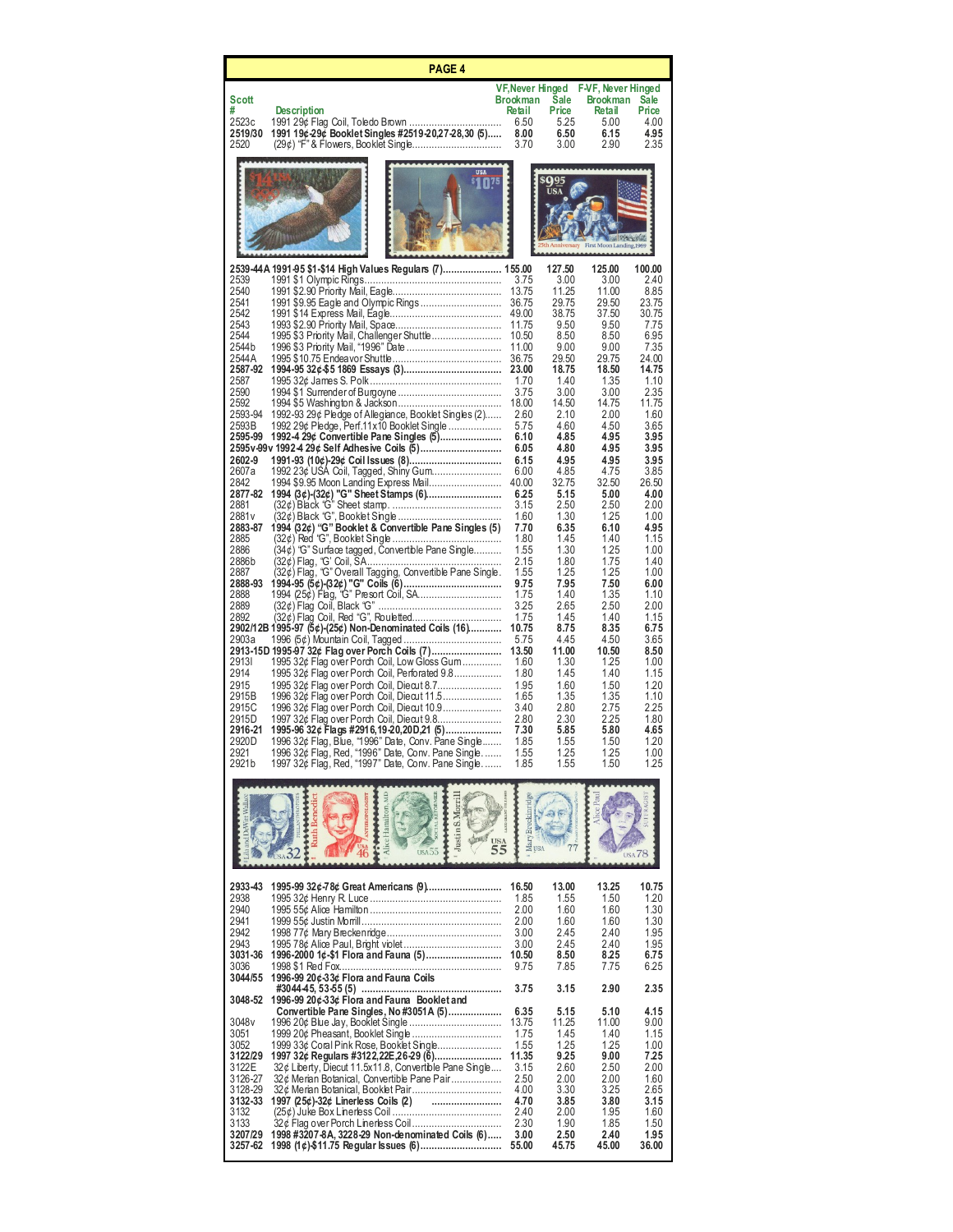|                                                                                                                                                                                                                                                                                                                                                                              | <b>PAGE 4</b>                                                                                                                                                                                                                                                                                                                                                                                                                                                                                                                                                                                                                                                                                                                                                                                                                                                                                                                                                                                                                                                                                                                                                                                                                                                                                                      |                                                                                                                                                                                                                                                                                                                                                                          |                                                                                                                                                                                                                                                                                                                                                                                |                                                                                                                                                                                                                                                                                                                                                                                |                                                                                                                                                                                                                                                                                                                                                                              |
|------------------------------------------------------------------------------------------------------------------------------------------------------------------------------------------------------------------------------------------------------------------------------------------------------------------------------------------------------------------------------|--------------------------------------------------------------------------------------------------------------------------------------------------------------------------------------------------------------------------------------------------------------------------------------------------------------------------------------------------------------------------------------------------------------------------------------------------------------------------------------------------------------------------------------------------------------------------------------------------------------------------------------------------------------------------------------------------------------------------------------------------------------------------------------------------------------------------------------------------------------------------------------------------------------------------------------------------------------------------------------------------------------------------------------------------------------------------------------------------------------------------------------------------------------------------------------------------------------------------------------------------------------------------------------------------------------------|--------------------------------------------------------------------------------------------------------------------------------------------------------------------------------------------------------------------------------------------------------------------------------------------------------------------------------------------------------------------------|--------------------------------------------------------------------------------------------------------------------------------------------------------------------------------------------------------------------------------------------------------------------------------------------------------------------------------------------------------------------------------|--------------------------------------------------------------------------------------------------------------------------------------------------------------------------------------------------------------------------------------------------------------------------------------------------------------------------------------------------------------------------------|------------------------------------------------------------------------------------------------------------------------------------------------------------------------------------------------------------------------------------------------------------------------------------------------------------------------------------------------------------------------------|
| Scott<br>#<br>2523c<br>2519/30<br>2520                                                                                                                                                                                                                                                                                                                                       | <b>Description</b><br>1991 19¢-29¢ Booklet Singles #2519-20,27-28,30 (5)                                                                                                                                                                                                                                                                                                                                                                                                                                                                                                                                                                                                                                                                                                                                                                                                                                                                                                                                                                                                                                                                                                                                                                                                                                           | VF, Never Hinged<br><b>Brookman</b><br>Retail<br>6.50<br>8.00<br>3.70                                                                                                                                                                                                                                                                                                    | Sale<br>Price<br>5.25<br>6.50<br>3.00                                                                                                                                                                                                                                                                                                                                          | F-VF, Never Hinged<br><b>Brookman</b><br><b>Retail</b><br>5.00<br>6.15<br>2.90                                                                                                                                                                                                                                                                                                 | <b>Sale</b><br>Price<br>4.00<br>4.95<br>2.35                                                                                                                                                                                                                                                                                                                                 |
|                                                                                                                                                                                                                                                                                                                                                                              | <b>USA</b>                                                                                                                                                                                                                                                                                                                                                                                                                                                                                                                                                                                                                                                                                                                                                                                                                                                                                                                                                                                                                                                                                                                                                                                                                                                                                                         |                                                                                                                                                                                                                                                                                                                                                                          | sQ95<br><b>USA</b><br>ith Anniversary                                                                                                                                                                                                                                                                                                                                          | <b>ALL AND STREET</b><br>First Moon Landing, 1969                                                                                                                                                                                                                                                                                                                              |                                                                                                                                                                                                                                                                                                                                                                              |
| 2539<br>2540<br>2541<br>2542<br>2543<br>2544<br>2544 b<br>2544 A<br>2587-92<br>2587<br>2590<br>2592<br>2593-94<br>2593B<br>2595-99<br>2602-9<br>2607a<br>2842<br>2877-82<br>2881<br>2881 v<br>2883-87<br>2885<br>2886<br>2886b<br>2887<br>2888-93<br>2888<br>2889<br>2892<br>2903a<br>29131<br>2914<br>2915<br>2915B<br>2915C<br>2915D<br>2916-21<br>2920 D<br>2921<br>2921b | 2539-44A 1991-95 \$1-\$14 High Values Regulars (7) 155.00<br>1995 \$3 Priority Mail, Challenger Shuttle<br>1992-93 29¢ Pledge of Allegiance, Booklet Singles (2)<br>1992 29¢ Pledge, Perf.11x10 Booklet Single<br>1992-4 29¢ Convertible Pane Singles (5)<br>2595v-99v 1992-4 29¢ Self Adhesive Coils (5)<br>1991-93 (10¢)-29¢ Coil Issues (8)<br>1992 23¢ USA Coil, Tagged, Shiny Gum<br>1994 (32¢) "G" Booklet & Convertible Pane Singles (5)<br>(34¢) "G" Surface tagged, Convertible Pane Single<br>(32¢) Flag, "G' Coil, ŠA………………………………………<br>(32¢) Flag, "G" Overall Tagging, Convertible Pane Single.<br>(32¢) Flag Coil, Black "G" ……………………………………<br>(32¢) Flag Coil, Red "G", Rouletted<br>2902/12B 1995-97 (5¢)-(25¢) Non-Denominated Coils (16)<br>2913-15D 1995-97 32¢ Flag over Porch Coils (7)<br>1995 32¢ Flag over Porch Coil, Low Gloss Gum<br>1995 32¢ Flag over Porch Coil, Perforated 9.8<br>1995 32¢ Flag over Porch Coil, Diecut 8.7<br>1996 32¢ Flag over Porch Coil, Diecut 11.5<br>1996 32¢ Flag over Porch Coil, Diecut 10.9<br>1997 32¢ Flag over Porch Coil, Diecut 9.8<br>1995-96 32¢ Flags #2916,19-20,20D,21 (5)<br>1996 32¢ Flag, Blue, "1996" Date, Conv. Pane Single<br>1996 32¢ Flag, Red, "1996" Date, Conv. Pane Single<br>1997 32¢ Flag, Red, "1997" Date, Conv. Pane Single | 3.75<br>13.75<br>36.75<br>49.00<br>11.75<br>10.50<br>11.00<br>36.75<br>23.00<br>1.70<br>3.75<br>18.00<br>2.60<br>5.75<br>6.10<br>6.05<br>6.15<br>6.00<br>40.00<br>6.25<br>3.15<br>1.60<br>7.70<br>1.80<br>1.55<br>2.15<br>1.55<br>9.75<br>1.75<br>3.25<br>1.75<br>10.75<br>5.75<br>13.50<br>1.60<br>1.80<br>1.95<br>1.65<br>3.40<br>2.80<br>7.30<br>1.85<br>1.55<br>1.85 | 127.50<br>3.00<br>11.25<br>29.75<br>38.75<br>9.50<br>8.50<br>9.00<br>29.50<br>18.75<br>1.40<br>3.00<br>14.50<br>2.10<br>4.60<br>4.85<br>4.80<br>4.95<br>4.85<br>32.75<br>5.15<br>2.50<br>1.30<br>6.35<br>1.45<br>1.30<br>1.80<br>1.25<br>7.95<br>1.40<br>2.65<br>1.45<br>8.75<br>4.45<br>11.00<br>1.30<br>1.45<br>1.60<br>1.35<br>2.80<br>2.30<br>5.85<br>1.55<br>1.25<br>1.55 | 125.00<br>3.00<br>11.00<br>29.50<br>37.50<br>9.50<br>8.50<br>9.00<br>29.75<br>18.50<br>1.35<br>3.00<br>14.75<br>2.00<br>4.50<br>4.95<br>4.95<br>4.95<br>4.75<br>32.50<br>5.00<br>2.50<br>1.25<br>6.10<br>1.40<br>1.25<br>1.75<br>1.25<br>7.50<br>1.35<br>2.50<br>1.40<br>8.35<br>4.50<br>10.50<br>1.25<br>1.40<br>1.50<br>1.35<br>2.75<br>2.25<br>5.80<br>1.50<br>1.25<br>1.50 | 100.00<br>2.40<br>8.85<br>23.75<br>30.75<br>7.75<br>6.95<br>7.35<br>24.00<br>14.75<br>1.10<br>2.35<br>11.75<br>1.60<br>3.65<br>3.95<br>3.95<br>3.95<br>3.85<br>26.50<br>4.00<br>2.00<br>1.00<br>4.95<br>1.15<br>1.00<br>1.40<br>1.00<br>6.00<br>1.10<br>2.00<br>1.15<br>6.75<br>3.65<br>8.50<br>1.00<br>1.15<br>1.20<br>1.10<br>2.25<br>1.80<br>4.65<br>1.20<br>1.00<br>1.25 |
|                                                                                                                                                                                                                                                                                                                                                                              | tamilton.<br>œ<br>Justin<br><b>USA</b><br>55                                                                                                                                                                                                                                                                                                                                                                                                                                                                                                                                                                                                                                                                                                                                                                                                                                                                                                                                                                                                                                                                                                                                                                                                                                                                       | Breckinridge<br>Mary.                                                                                                                                                                                                                                                                                                                                                    |                                                                                                                                                                                                                                                                                                                                                                                | ice Pau<br><b>TSA</b>                                                                                                                                                                                                                                                                                                                                                          | 78                                                                                                                                                                                                                                                                                                                                                                           |
| 2933-43<br>2938<br>2940<br>2941<br>2942<br>2943<br>3031-36<br>3036<br>3044/55                                                                                                                                                                                                                                                                                                | 1995-99 32¢-78¢ Great Americans (9)<br>1996-2000 1¢-\$1 Flora and Fauna (5)<br>1996-99 20¢-33¢ Flora and Fauna Coils                                                                                                                                                                                                                                                                                                                                                                                                                                                                                                                                                                                                                                                                                                                                                                                                                                                                                                                                                                                                                                                                                                                                                                                               | 16.50<br>1.85<br>2.00<br>2.00<br>3.00<br>3.00<br>10.50<br>9.75                                                                                                                                                                                                                                                                                                           | 13.00<br>1.55<br>1.60<br>1.60<br>2.45<br>2.45<br>8.50<br>7.85                                                                                                                                                                                                                                                                                                                  | 13.25<br>1.50<br>1.60<br>1.60<br>2.40<br>2.40<br>8.25<br>7.75                                                                                                                                                                                                                                                                                                                  | 10.75<br>1.20<br>1.30<br>1.30<br>1.95<br>1.95<br>6.75<br>6.25                                                                                                                                                                                                                                                                                                                |
| 3048-52<br>3048 <sub>v</sub><br>3051<br>3052<br>3122/29<br>3122E<br>3126-27<br>3128-29<br>3132-33<br>3132<br>3133<br>3207/29<br>3257-62                                                                                                                                                                                                                                      | 1996-99 20¢-33¢ Flora and Fauna Booklet and<br>Convertible Pane Singles, No #3051A (5)<br>1999 33¢ Coral Pink Rose, Booklet Single<br>1997 32¢ Regulars #3122,22E,26-29 (6)<br>32¢ Liberty, Diecut 11.5x11.8, Convertible Pane Single<br>32¢ Merian Botanical, Convertible Pane Pair<br><br>1997 (25¢)-32¢ Linerless Coils (2)<br>32¢ Flag over Porch Linerless Coil<br>1998 #3207-8A, 3228-29 Non-denominated Coils (6)                                                                                                                                                                                                                                                                                                                                                                                                                                                                                                                                                                                                                                                                                                                                                                                                                                                                                           | 3.75<br>6.35<br>13.75<br>1.75<br>1.55<br>11.35<br>3.15<br>2.50<br>4.00<br>4.70<br>2.40<br>2.30<br>3.00<br>55.00                                                                                                                                                                                                                                                          | 3.15<br>5.15<br>11.25<br>1.45<br>1.25<br>9.25<br>2.60<br>2.00<br>3.30<br>3.85<br>2.00<br>1.90<br>2.50<br>45.75                                                                                                                                                                                                                                                                 | 2.90<br>5.10<br>11.00<br>1.40<br>1.25<br>9.00<br>2.50<br>2.00<br>3.25<br>3.80<br>1.95<br>1.85<br>2.40<br>45.00                                                                                                                                                                                                                                                                 | 2.35<br>4.15<br>9.00<br>1.15<br>1.00<br>7.25<br>2.00<br>1.60<br>2.65<br>3.15<br>1.60<br>1.50<br>1.95<br>36.00                                                                                                                                                                                                                                                                |